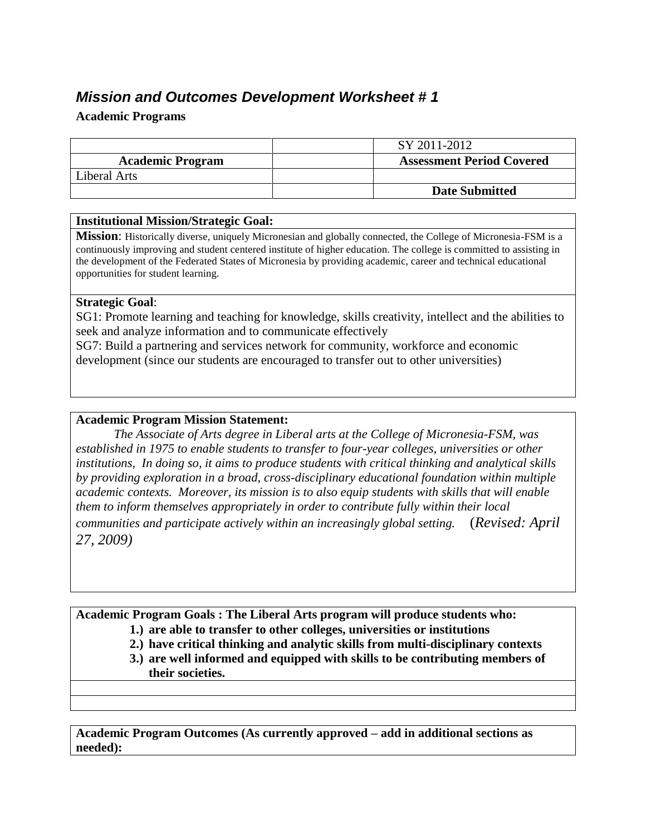# *Mission and Outcomes Development Worksheet # 1*

#### **Academic Programs**

|                         | SY 2011-2012                     |
|-------------------------|----------------------------------|
| <b>Academic Program</b> | <b>Assessment Period Covered</b> |
| Liberal Arts            |                                  |
|                         | <b>Date Submitted</b>            |

#### **Institutional Mission/Strategic Goal:**

**Mission**: Historically diverse, uniquely Micronesian and globally connected, the College of Micronesia-FSM is a continuously improving and student centered institute of higher education. The college is committed to assisting in the development of the Federated States of Micronesia by providing academic, career and technical educational opportunities for student learning.

#### **Strategic Goal**:

SG1: Promote learning and teaching for knowledge, skills creativity, intellect and the abilities to seek and analyze information and to communicate effectively

SG7: Build a partnering and services network for community, workforce and economic development (since our students are encouraged to transfer out to other universities)

#### **Academic Program Mission Statement:**

*The Associate of Arts degree in Liberal arts at the College of Micronesia-FSM, was established in 1975 to enable students to transfer to four-year colleges, universities or other institutions, In doing so, it aims to produce students with critical thinking and analytical skills by providing exploration in a broad, cross-disciplinary educational foundation within multiple academic contexts. Moreover, its mission is to also equip students with skills that will enable them to inform themselves appropriately in order to contribute fully within their local communities and participate actively within an increasingly global setting.* (*Revised: April 27, 2009)*

**Academic Program Goals : The Liberal Arts program will produce students who:** 

- **1.) are able to transfer to other colleges, universities or institutions**
- **2.) have critical thinking and analytic skills from multi-disciplinary contexts**
- **3.) are well informed and equipped with skills to be contributing members of their societies.**

**Academic Program Outcomes (As currently approved – add in additional sections as needed):**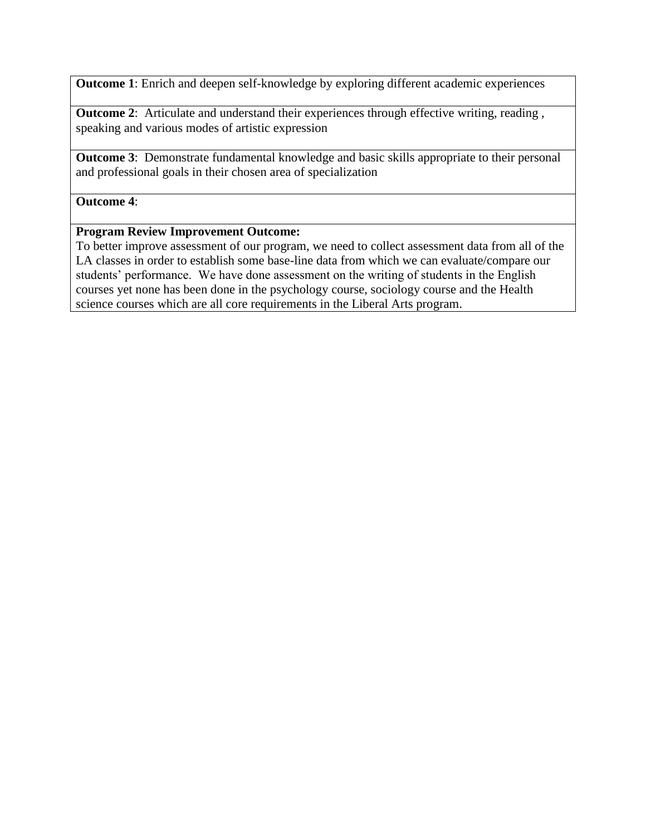**Outcome 1**: Enrich and deepen self-knowledge by exploring different academic experiences

**Outcome 2:** Articulate and understand their experiences through effective writing, reading, speaking and various modes of artistic expression

**Outcome 3**: Demonstrate fundamental knowledge and basic skills appropriate to their personal and professional goals in their chosen area of specialization

#### **Outcome 4**:

#### **Program Review Improvement Outcome:**

To better improve assessment of our program, we need to collect assessment data from all of the LA classes in order to establish some base-line data from which we can evaluate/compare our students' performance. We have done assessment on the writing of students in the English courses yet none has been done in the psychology course, sociology course and the Health science courses which are all core requirements in the Liberal Arts program.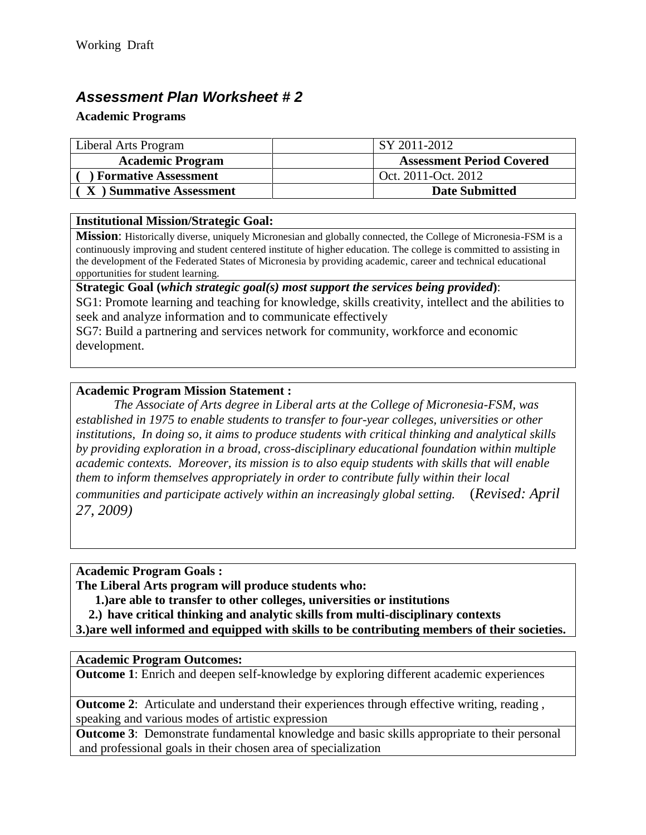# *Assessment Plan Worksheet # 2*

### **Academic Programs**

| Liberal Arts Program        | SY 2011-2012                     |
|-----------------------------|----------------------------------|
| <b>Academic Program</b>     | <b>Assessment Period Covered</b> |
| <b>Formative Assessment</b> | Oct. 2011-Oct. 2012              |
| X ) Summative Assessment    | <b>Date Submitted</b>            |

### **Institutional Mission/Strategic Goal:**

**Mission**: Historically diverse, uniquely Micronesian and globally connected, the College of Micronesia-FSM is a continuously improving and student centered institute of higher education. The college is committed to assisting in the development of the Federated States of Micronesia by providing academic, career and technical educational opportunities for student learning.

**Strategic Goal (***which strategic goal(s) most support the services being provided***)**:

SG1: Promote learning and teaching for knowledge, skills creativity, intellect and the abilities to seek and analyze information and to communicate effectively

SG7: Build a partnering and services network for community, workforce and economic development.

### **Academic Program Mission Statement :**

*The Associate of Arts degree in Liberal arts at the College of Micronesia-FSM, was established in 1975 to enable students to transfer to four-year colleges, universities or other institutions, In doing so, it aims to produce students with critical thinking and analytical skills by providing exploration in a broad, cross-disciplinary educational foundation within multiple academic contexts. Moreover, its mission is to also equip students with skills that will enable them to inform themselves appropriately in order to contribute fully within their local communities and participate actively within an increasingly global setting.* (*Revised: April 27, 2009)*

**Academic Program Goals :** 

**The Liberal Arts program will produce students who:** 

**1.)are able to transfer to other colleges, universities or institutions**

**2.) have critical thinking and analytic skills from multi-disciplinary contexts**

**3.)are well informed and equipped with skills to be contributing members of their societies.**

### **Academic Program Outcomes:**

**Outcome 1**: Enrich and deepen self-knowledge by exploring different academic experiences

**Outcome 2:** Articulate and understand their experiences through effective writing, reading, speaking and various modes of artistic expression

**Outcome 3**: Demonstrate fundamental knowledge and basic skills appropriate to their personal and professional goals in their chosen area of specialization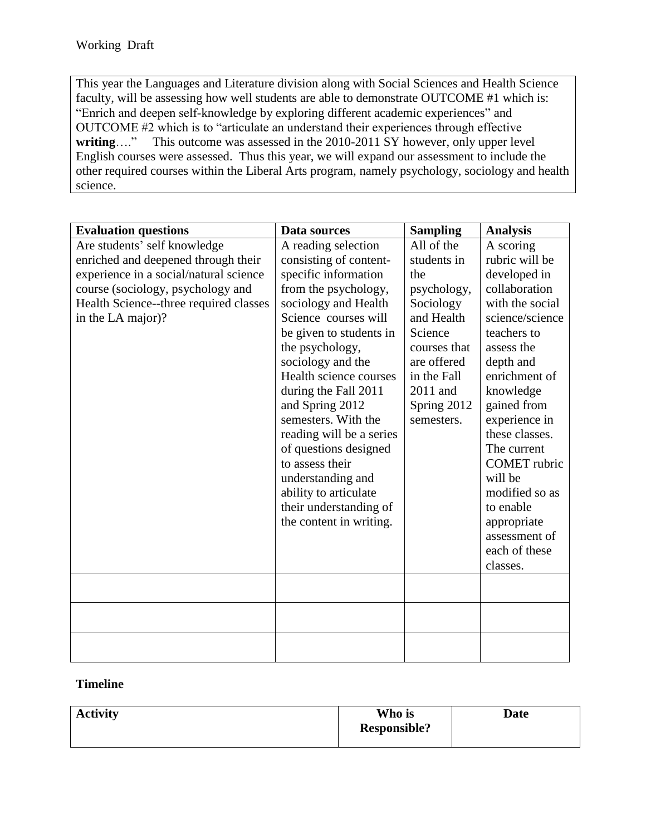This year the Languages and Literature division along with Social Sciences and Health Science faculty, will be assessing how well students are able to demonstrate OUTCOME #1 which is: "Enrich and deepen self-knowledge by exploring different academic experiences" and OUTCOME #2 which is to "articulate an understand their experiences through effective This outcome was assessed in the 2010-2011 SY however, only upper level English courses were assessed. Thus this year, we will expand our assessment to include the other required courses within the Liberal Arts program, namely psychology, sociology and health science.

| <b>Evaluation questions</b>            | Data sources             | <b>Sampling</b> | <b>Analysis</b>     |
|----------------------------------------|--------------------------|-----------------|---------------------|
| Are students' self knowledge           | A reading selection      | All of the      | A scoring           |
| enriched and deepened through their    | consisting of content-   | students in     | rubric will be      |
| experience in a social/natural science | specific information     | the             | developed in        |
| course (sociology, psychology and      | from the psychology,     | psychology,     | collaboration       |
| Health Science--three required classes | sociology and Health     | Sociology       | with the social     |
| in the LA major)?                      | Science courses will     | and Health      | science/science     |
|                                        | be given to students in  | Science         | teachers to         |
|                                        | the psychology,          | courses that    | assess the          |
|                                        | sociology and the        | are offered     | depth and           |
|                                        | Health science courses   | in the Fall     | enrichment of       |
|                                        | during the Fall 2011     | 2011 and        | knowledge           |
|                                        | and Spring 2012          | Spring 2012     | gained from         |
|                                        | semesters. With the      | semesters.      | experience in       |
|                                        | reading will be a series |                 | these classes.      |
|                                        | of questions designed    |                 | The current         |
|                                        | to assess their          |                 | <b>COMET</b> rubric |
|                                        | understanding and        |                 | will be             |
|                                        | ability to articulate    |                 | modified so as      |
|                                        | their understanding of   |                 | to enable           |
|                                        | the content in writing.  |                 | appropriate         |
|                                        |                          |                 | assessment of       |
|                                        |                          |                 | each of these       |
|                                        |                          |                 | classes.            |
|                                        |                          |                 |                     |
|                                        |                          |                 |                     |
|                                        |                          |                 |                     |
|                                        |                          |                 |                     |
|                                        |                          |                 |                     |
|                                        |                          |                 |                     |

## **Timeline**

| <b>Activity</b> | Who is              | <b>Date</b> |
|-----------------|---------------------|-------------|
|                 | <b>Responsible?</b> |             |
|                 |                     |             |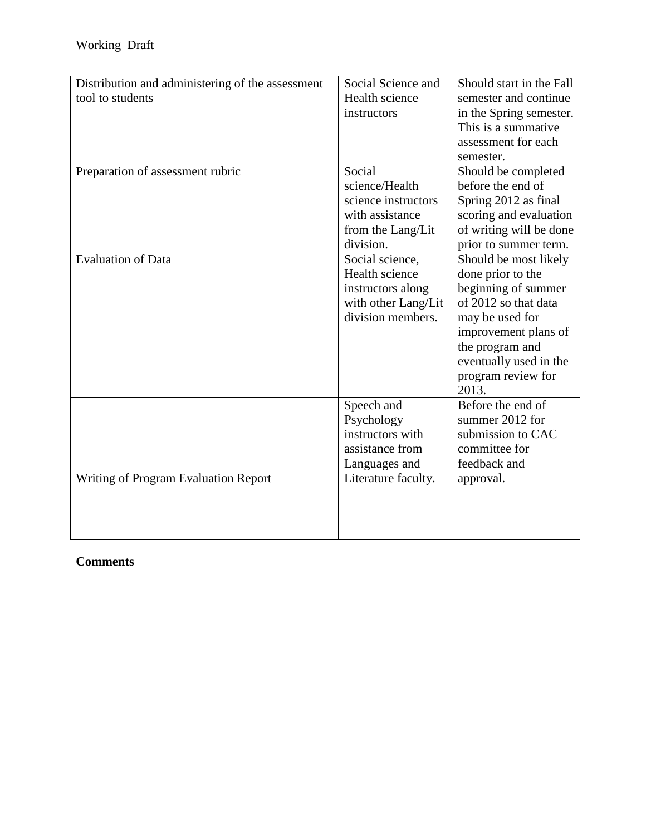| Distribution and administering of the assessment<br>tool to students | Social Science and<br>Health science<br>instructors                                                     | Should start in the Fall<br>semester and continue<br>in the Spring semester.<br>This is a summative<br>assessment for each<br>semester.                                                                          |
|----------------------------------------------------------------------|---------------------------------------------------------------------------------------------------------|------------------------------------------------------------------------------------------------------------------------------------------------------------------------------------------------------------------|
| Preparation of assessment rubric                                     | Social<br>science/Health<br>science instructors<br>with assistance<br>from the Lang/Lit<br>division.    | Should be completed<br>before the end of<br>Spring 2012 as final<br>scoring and evaluation<br>of writing will be done<br>prior to summer term.                                                                   |
| <b>Evaluation of Data</b>                                            | Social science,<br>Health science<br>instructors along<br>with other Lang/Lit<br>division members.      | Should be most likely<br>done prior to the<br>beginning of summer<br>of 2012 so that data<br>may be used for<br>improvement plans of<br>the program and<br>eventually used in the<br>program review for<br>2013. |
| Writing of Program Evaluation Report                                 | Speech and<br>Psychology<br>instructors with<br>assistance from<br>Languages and<br>Literature faculty. | Before the end of<br>summer 2012 for<br>submission to CAC<br>committee for<br>feedback and<br>approval.                                                                                                          |

## **Comments**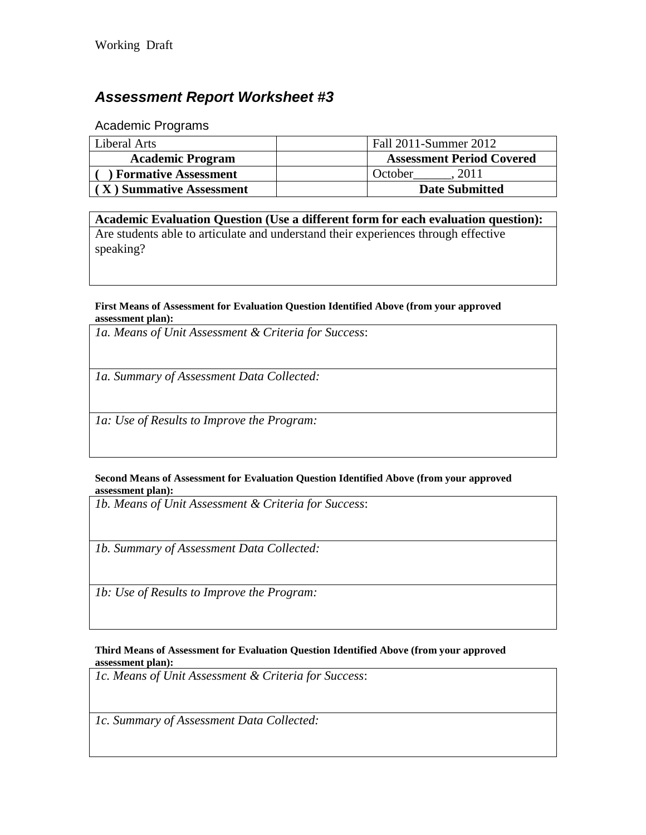# *Assessment Report Worksheet #3*

Academic Programs

| Liberal Arts                | Fall 2011-Summer 2012            |
|-----------------------------|----------------------------------|
| <b>Academic Program</b>     | <b>Assessment Period Covered</b> |
| <b>Formative Assessment</b> | 2011<br>October                  |
| (X) Summative Assessment    | <b>Date Submitted</b>            |

**Academic Evaluation Question (Use a different form for each evaluation question):** Are students able to articulate and understand their experiences through effective speaking?

#### **First Means of Assessment for Evaluation Question Identified Above (from your approved assessment plan):**

*1a. Means of Unit Assessment & Criteria for Success*:

*1a. Summary of Assessment Data Collected:*

*1a: Use of Results to Improve the Program:*

#### **Second Means of Assessment for Evaluation Question Identified Above (from your approved assessment plan):**

*1b. Means of Unit Assessment & Criteria for Success*:

*1b. Summary of Assessment Data Collected:*

*1b: Use of Results to Improve the Program:*

#### **Third Means of Assessment for Evaluation Question Identified Above (from your approved assessment plan):**

*1c. Means of Unit Assessment & Criteria for Success*:

*1c. Summary of Assessment Data Collected:*